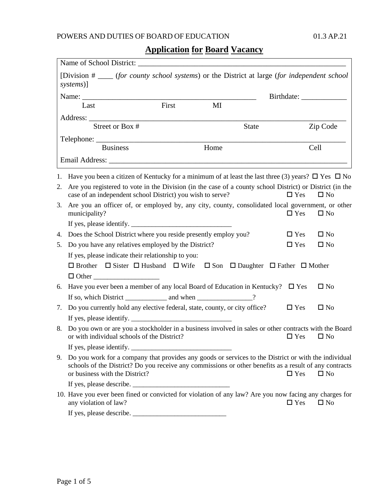### POWERS AND DUTIES OF BOARD OF EDUCATION 01.3 AP.21

# **Application for Board Vacancy**

|                                                                                                                | [Division # ____ (for county school systems) or the District at large (for independent school<br>systems)]                                                                                                                                          |       |      |              |               |              |
|----------------------------------------------------------------------------------------------------------------|-----------------------------------------------------------------------------------------------------------------------------------------------------------------------------------------------------------------------------------------------------|-------|------|--------------|---------------|--------------|
|                                                                                                                |                                                                                                                                                                                                                                                     |       |      |              |               |              |
|                                                                                                                | Last                                                                                                                                                                                                                                                | First | MI   |              |               |              |
|                                                                                                                |                                                                                                                                                                                                                                                     |       |      |              |               |              |
|                                                                                                                | Street or Box #                                                                                                                                                                                                                                     |       |      | <b>State</b> |               | Zip Code     |
|                                                                                                                |                                                                                                                                                                                                                                                     |       |      |              |               |              |
|                                                                                                                | <b>Business</b>                                                                                                                                                                                                                                     |       | Home |              |               | Cell         |
|                                                                                                                | Email Address: No. 1996. The Second Second Second Second Second Second Second Second Second Second Second Second Second Second Second Second Second Second Second Second Second Second Second Second Second Second Second Seco                      |       |      |              |               |              |
|                                                                                                                | 1. Have you been a citizen of Kentucky for a minimum of at least the last three (3) years? $\Box$ Yes $\Box$ No                                                                                                                                     |       |      |              |               |              |
| 2.                                                                                                             | Are you registered to vote in the Division (in the case of a county school District) or District (in the<br>case of an independent school District) you wish to serve?                                                                              |       |      |              | $\Box$ Yes    | $\square$ No |
| 3.                                                                                                             | Are you an officer of, or employed by, any city, county, consolidated local government, or other<br>municipality?                                                                                                                                   |       |      |              | $\Box$ Yes    | $\square$ No |
|                                                                                                                |                                                                                                                                                                                                                                                     |       |      |              |               |              |
| 4.                                                                                                             | Does the School District where you reside presently employ you?                                                                                                                                                                                     |       |      |              | $\Box$ Yes    | $\square$ No |
| 5.                                                                                                             | Do you have any relatives employed by the District?                                                                                                                                                                                                 |       |      |              | $\Box$ Yes    | $\square$ No |
|                                                                                                                | If yes, please indicate their relationship to you:                                                                                                                                                                                                  |       |      |              |               |              |
| $\Box$ Brother $\Box$ Sister $\Box$ Husband $\Box$ Wife $\Box$ Son $\Box$ Daughter $\Box$ Father $\Box$ Mother |                                                                                                                                                                                                                                                     |       |      |              |               |              |
|                                                                                                                |                                                                                                                                                                                                                                                     |       |      |              |               |              |
| 6.                                                                                                             | Have you ever been a member of any local Board of Education in Kentucky? $\square$ Yes                                                                                                                                                              |       |      |              |               | $\square$ No |
|                                                                                                                |                                                                                                                                                                                                                                                     |       |      |              |               |              |
| 7.                                                                                                             | Do you currently hold any elective federal, state, county, or city office?                                                                                                                                                                          |       |      |              | $\Box$ Yes    | $\square$ No |
|                                                                                                                |                                                                                                                                                                                                                                                     |       |      |              |               |              |
| 8.                                                                                                             | Do you own or are you a stockholder in a business involved in sales or other contracts with the Board<br>or with individual schools of the District?                                                                                                |       |      |              | $\square$ Yes | $\square$ No |
|                                                                                                                |                                                                                                                                                                                                                                                     |       |      |              |               |              |
|                                                                                                                | 9. Do you work for a company that provides any goods or services to the District or with the individual<br>schools of the District? Do you receive any commissions or other benefits as a result of any contracts<br>or business with the District? |       |      |              | $\Box$ Yes    | $\square$ No |
|                                                                                                                |                                                                                                                                                                                                                                                     |       |      |              |               |              |
|                                                                                                                | 10. Have you ever been fined or convicted for violation of any law? Are you now facing any charges for<br>any violation of law?                                                                                                                     |       |      |              | $\Box$ Yes    | $\square$ No |
|                                                                                                                | If yes, please describe.                                                                                                                                                                                                                            |       |      |              |               |              |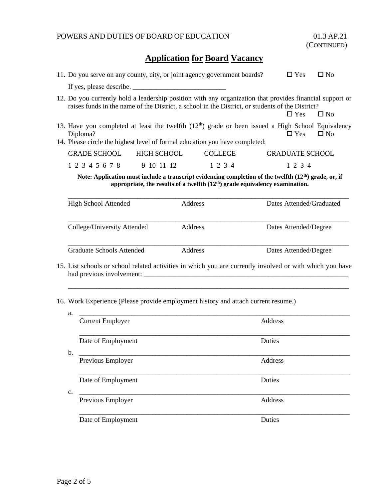|  | 11. Do you serve on any county, city, or joint agency government boards?                                                                                                                 |                                                                                                                                                                                                              |                                  |                           |                          | $\Box$ Yes | $\square$ No |  |
|--|------------------------------------------------------------------------------------------------------------------------------------------------------------------------------------------|--------------------------------------------------------------------------------------------------------------------------------------------------------------------------------------------------------------|----------------------------------|---------------------------|--------------------------|------------|--------------|--|
|  | If yes, please describe.                                                                                                                                                                 |                                                                                                                                                                                                              |                                  |                           |                          |            |              |  |
|  |                                                                                                                                                                                          | 12. Do you currently hold a leadership position with any organization that provides financial support or<br>raises funds in the name of the District, a school in the District, or students of the District? |                                  |                           |                          | $\Box$ Yes | $\square$ No |  |
|  |                                                                                                                                                                                          | 13. Have you completed at least the twelfth $(12th)$ grade or been issued a High School Equivalency<br>Diploma?<br>14. Please circle the highest level of formal education you have completed:               |                                  |                           |                          | $\Box$ Yes | $\square$ No |  |
|  |                                                                                                                                                                                          | <b>GRADE SCHOOL</b>                                                                                                                                                                                          | <b>GRADUATE SCHOOL</b>           |                           |                          |            |              |  |
|  |                                                                                                                                                                                          | 1 2 3 4 5 6 7 8                                                                                                                                                                                              | <b>HIGH SCHOOL</b><br>9 10 11 12 | <b>COLLEGE</b><br>1 2 3 4 |                          | 1 2 3 4    |              |  |
|  | Note: Application must include a transcript evidencing completion of the twelfth $(12th)$ grade, or, if<br>appropriate, the results of a twelfth $(12th)$ grade equivalency examination. |                                                                                                                                                                                                              |                                  |                           |                          |            |              |  |
|  | Address<br><b>High School Attended</b>                                                                                                                                                   |                                                                                                                                                                                                              |                                  |                           | Dates Attended/Graduated |            |              |  |
|  | College/University Attended<br>Address                                                                                                                                                   |                                                                                                                                                                                                              |                                  |                           | Dates Attended/Degree    |            |              |  |
|  | <b>Graduate Schools Attended</b><br>Address                                                                                                                                              |                                                                                                                                                                                                              |                                  | Dates Attended/Degree     |                          |            |              |  |
|  |                                                                                                                                                                                          | 15. List schools or school related activities in which you are currently involved or with which you have                                                                                                     |                                  |                           |                          |            |              |  |
|  | 16. Work Experience (Please provide employment history and attach current resume.)                                                                                                       |                                                                                                                                                                                                              |                                  |                           |                          |            |              |  |
|  | a.<br><b>Current Employer</b>                                                                                                                                                            |                                                                                                                                                                                                              |                                  | Address                   |                          |            |              |  |
|  |                                                                                                                                                                                          | Date of Employment                                                                                                                                                                                           |                                  |                           |                          | Duties     |              |  |
|  | b.                                                                                                                                                                                       | Previous Employer                                                                                                                                                                                            |                                  |                           |                          | Address    |              |  |
|  |                                                                                                                                                                                          | Date of Employment                                                                                                                                                                                           |                                  |                           |                          | Duties     |              |  |
|  | c.                                                                                                                                                                                       | Previous Employer                                                                                                                                                                                            |                                  |                           |                          | Address    |              |  |
|  |                                                                                                                                                                                          | Date of Employment                                                                                                                                                                                           |                                  |                           |                          | Duties     |              |  |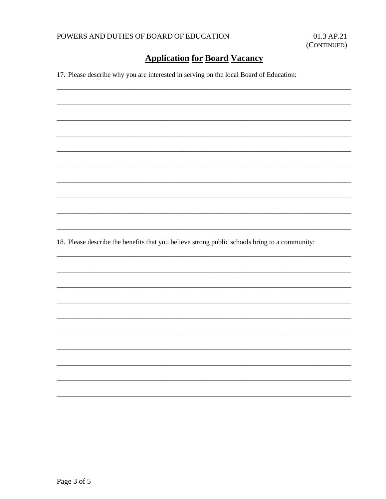17. Please describe why you are interested in serving on the local Board of Education:

18. Please describe the benefits that you believe strong public schools bring to a community: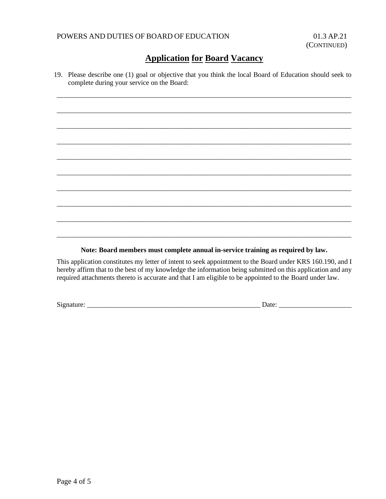19. Please describe one (1) goal or objective that you think the local Board of Education should seek to complete during your service on the Board:

\_\_\_\_\_\_\_\_\_\_\_\_\_\_\_\_\_\_\_\_\_\_\_\_\_\_\_\_\_\_\_\_\_\_\_\_\_\_\_\_\_\_\_\_\_\_\_\_\_\_\_\_\_\_\_\_\_\_\_\_\_\_\_\_\_\_\_\_\_\_\_\_\_\_\_\_\_\_\_\_\_\_\_\_\_

\_\_\_\_\_\_\_\_\_\_\_\_\_\_\_\_\_\_\_\_\_\_\_\_\_\_\_\_\_\_\_\_\_\_\_\_\_\_\_\_\_\_\_\_\_\_\_\_\_\_\_\_\_\_\_\_\_\_\_\_\_\_\_\_\_\_\_\_\_\_\_\_\_\_\_\_\_\_\_\_\_\_\_\_\_

\_\_\_\_\_\_\_\_\_\_\_\_\_\_\_\_\_\_\_\_\_\_\_\_\_\_\_\_\_\_\_\_\_\_\_\_\_\_\_\_\_\_\_\_\_\_\_\_\_\_\_\_\_\_\_\_\_\_\_\_\_\_\_\_\_\_\_\_\_\_\_\_\_\_\_\_\_\_\_\_\_\_\_\_\_

\_\_\_\_\_\_\_\_\_\_\_\_\_\_\_\_\_\_\_\_\_\_\_\_\_\_\_\_\_\_\_\_\_\_\_\_\_\_\_\_\_\_\_\_\_\_\_\_\_\_\_\_\_\_\_\_\_\_\_\_\_\_\_\_\_\_\_\_\_\_\_\_\_\_\_\_\_\_\_\_\_\_\_\_\_

\_\_\_\_\_\_\_\_\_\_\_\_\_\_\_\_\_\_\_\_\_\_\_\_\_\_\_\_\_\_\_\_\_\_\_\_\_\_\_\_\_\_\_\_\_\_\_\_\_\_\_\_\_\_\_\_\_\_\_\_\_\_\_\_\_\_\_\_\_\_\_\_\_\_\_\_\_\_\_\_\_\_\_\_\_

\_\_\_\_\_\_\_\_\_\_\_\_\_\_\_\_\_\_\_\_\_\_\_\_\_\_\_\_\_\_\_\_\_\_\_\_\_\_\_\_\_\_\_\_\_\_\_\_\_\_\_\_\_\_\_\_\_\_\_\_\_\_\_\_\_\_\_\_\_\_\_\_\_\_\_\_\_\_\_\_\_\_\_\_\_

\_\_\_\_\_\_\_\_\_\_\_\_\_\_\_\_\_\_\_\_\_\_\_\_\_\_\_\_\_\_\_\_\_\_\_\_\_\_\_\_\_\_\_\_\_\_\_\_\_\_\_\_\_\_\_\_\_\_\_\_\_\_\_\_\_\_\_\_\_\_\_\_\_\_\_\_\_\_\_\_\_\_\_\_\_

\_\_\_\_\_\_\_\_\_\_\_\_\_\_\_\_\_\_\_\_\_\_\_\_\_\_\_\_\_\_\_\_\_\_\_\_\_\_\_\_\_\_\_\_\_\_\_\_\_\_\_\_\_\_\_\_\_\_\_\_\_\_\_\_\_\_\_\_\_\_\_\_\_\_\_\_\_\_\_\_\_\_\_\_\_

\_\_\_\_\_\_\_\_\_\_\_\_\_\_\_\_\_\_\_\_\_\_\_\_\_\_\_\_\_\_\_\_\_\_\_\_\_\_\_\_\_\_\_\_\_\_\_\_\_\_\_\_\_\_\_\_\_\_\_\_\_\_\_\_\_\_\_\_\_\_\_\_\_\_\_\_\_\_\_\_\_\_\_\_\_

\_\_\_\_\_\_\_\_\_\_\_\_\_\_\_\_\_\_\_\_\_\_\_\_\_\_\_\_\_\_\_\_\_\_\_\_\_\_\_\_\_\_\_\_\_\_\_\_\_\_\_\_\_\_\_\_\_\_\_\_\_\_\_\_\_\_\_\_\_\_\_\_\_\_\_\_\_\_\_\_\_\_\_\_\_

**Note: Board members must complete annual in-service training as required by law.**

This application constitutes my letter of intent to seek appointment to the Board under KRS 160.190, and I hereby affirm that to the best of my knowledge the information being submitted on this application and any required attachments thereto is accurate and that I am eligible to be appointed to the Board under law.

Signature: \_\_\_\_\_\_\_\_\_\_\_\_\_\_\_\_\_\_\_\_\_\_\_\_\_\_\_\_\_\_\_\_\_\_\_\_\_\_\_\_\_\_\_\_\_\_\_\_\_\_ Date: \_\_\_\_\_\_\_\_\_\_\_\_\_\_\_\_\_\_\_\_\_